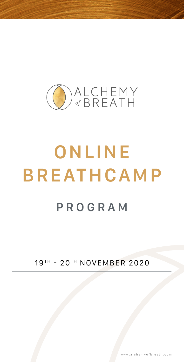

# **ONLINE BREATHCAMP PROGRAM**

19TH - 20TH NOVEMBER 2020

www.alchemyofbreath.com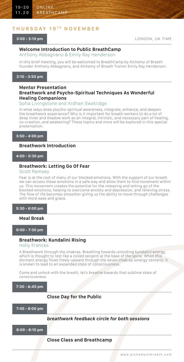## **THURSDAY 19 T H NOVEMBER**

#### **3:00 - 3:10 pm**

LONDON, UK TIME

## **Welcome Introduction to Public BreathCamp**

Anthony Abbagnano & Emily Ray Henderson

In this brief meeting, you will be welcomed to BreathCamp by Alchemy of Breath founder Anthony Abbagnano, and Alchemy of Breath Trainer Emily Ray Henderson.

#### **3:10 - 3:50 pm**

#### **Mentor Presentation Breathwork and Psycho-Spiritual Techniques As Wonderful Healing Companions**

#### Sofia Livingstone and Ardhan Swatridge

In what ways does psycho-spiritual awareness, integrate, enhance, and deepen the breathwork experience? Why is it important for breath workers to do a lot of deep inner and shadow work as an integral, intrinsic, and necessary part of healing, co-creation, and awakening? These topics and more will be explored in this special presentation.

**3:50 - 4:00 pm**

## **Breathwork Introduction**

#### **4:00 - 5:30 pm**

#### **Breathwork: Letting Go Of Fear**

## Scott Ramsey

Fear is at the root of many of our blocked emotions. With the support of our breath we can access these emotions in a safe way and allow them to find movement within us. This movement creates the potential for the releasing and letting go of the blocked emotions, helping to overcome anxiety and depression, and relieving stress. The flow of life becomes smoother giving us the ability to move through challenges with more ease and grace.

**5:30 - 6:00 pm**

#### **Meal Break**

**6:00 - 7:30 pm**

## **Breathwork: Kundalini Rising**

#### Holly Frances

A Breathwork through the chakras. Breathing towards unlocking kundalini energy, which is thought to rest like a coiled serpent at the base of the spine. When this dormant energy flows freely upward through the seven chakras (energy centers), it is known to lead to an expanded state of consciousness.

Come and unlock with the breath, let's breathe towards that sublime state of consciousness.

**7:30 - &:45 pm**

#### **Close Day for the Public**

**7:45 - 8:00 pm**

#### *breathwork feedback circle for both sessions*

**8:00 - 8:15 pm**

**Close Class and Breathcamp**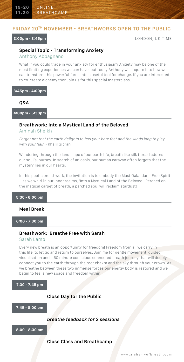## **FRIDAY 20TH NOVEMBER - BREATHWORKS OPEN TO THE PUBLIC**

**3:00pm - 3:45pm** LONDON, UK TIME

## **Special Topic - Transforming Anxiety**

Anthony Abbagnano

What if you could trade in your anxiety for enthusiasm? Anxiety may be one of the most limiting experiences we can have, but today Anthony will inquire into how we can transform this powerful force into a useful tool for change. If you are interested to co-create alchemy then join us for this special masterclass.

#### **3:45pm - 4:00pm**

#### **Q&A**

**4:00pm - 5:30pm**

## **Breathwork: Into a Mystical Land of the Beloved**

Aminah Sheikh

*Forget not that the earth delights to feel your bare feet and the winds long to play with your hair* ~ Khalil Gibran

Wandering through the landscape of our earth life, breath like silk thread adorns our soul's journey. In search of an oasis, our human caravan often forgets that the mystery lies in our hearts.

In this poetic breathwork, the invitation is to embody the Mast Qalandar – Free Spirit – as we whirl in our inner realms, 'Into a Mystical Land of the Beloved'. Perched on the magical carpet of breath, a parched soul will reclaim stardust!

#### **Meal Break**

**6:00 - 7:30 pm**

## **Breathwork: Breathe Free with Sarah**

#### Sarah Lamb

Every new breath is an opportunity for freedom! Freedom from all we carry in this life, to let go and return to ourselves. Join me for gentle movement, guided visualisation and a 60 minute conscious connected breath journey that will deeply connect you to the earth through the root chakra and the sky through your crown. As we breathe between these two immense forces our energy body is restored and we begin to feel a new space and freedom within.

**7:30 - 7:45 pm**

## **Close Day for the Public**

**7:45 - 8:00 pm**

## *breathe feedback for 2 sessions*

**8:00 - 8:30 pm**

#### **Close Class and Breathcamp**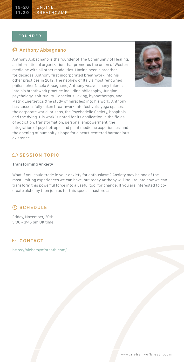#### **FOUNDER**

## **Anthony Abbagnano**

Anthony Abbagnano is the founder of The Community of Healing, an international organization that promotes the union of Western medicine with all other modalities. Having been a breather for decades, Anthony first incorporated breathwork into his other practices in 2012. The nephew of Italy's most renowned philosopher Nicola Abbagnano, Anthony weaves many talents into his breathwork practice including philosophy, Jungian psychology, spirituality, Conscious Loving, hypnotherapy, and Matrix Energetics (the study of miracles) into his work. Anthony has successfully taken breathwork into festivals, yoga spaces, the corporate world, prisons, the Psychedelic Society, hospitals, and the dying. His work is noted for its application in the fields of addiction, transformation, personal empowerment, the integration of psychotropic and plant medicine experiences, and the opening of humanity's hope for a heart-centered harmonious existence.



## $\oslash$  SESSION TOPIC

## **Transforming Anxiety**

What if you could trade in your anxiety for enthusiasm? Anxiety may be one of the most limiting experiences we can have, but today Anthony will inquire into how we can transform this powerful force into a useful tool for change. If you are interested to cocreate alchemy then join us for this special masterclass.

## *<b>SCHEDULE*

Friday, November, 20th 3:00 - 3:45 pm UK time

## **CONTACT**

<https://alchemyofbreath.com/>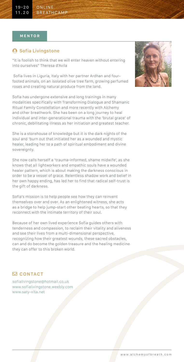#### **MENTOR**

## **A** Sofia Livingstone

"It is foolish to think that we will enter heaven without entering into ourselves" Theresa d'Avila

 Sofia lives in Liguria, Italy with her partner Ardhan and fourfooted animals, on an isolated olive tree farm, growing perfumed roses and creating natural produce from the land.

Sofia has undergone extensive and long trainings in many modalities specifically with Transforming Dialogue and Shamanic Ritual Family Constellation and more recently with Alchemy and other breathwork. She has been on a long journey to heal individual and inter-generational trauma with the 'brutal grace' of chronic, debilitating illness as her initiation and greatest teacher.

She is a storehouse of knowledge but it is the dark nights of the soul and 'burn out that initiated her as a wounded and mystic healer, leading her to a path of spiritual embodiment and divine sovereignty.

She now calls herself a 'trauma-informed, shame midwife', as she knows that all lightworkers and empathic souls have a wounded healer pattern, which is about making the darkness conscious in order to be a vessel of grace. Relentless shadow work and belief in her own happy ending, has led her to find that radical self-trust is the gift of darkness.

Sofia's mission is to help people see how they can reinvent themselves over and over. As an enlightened witness, she acts as a bridge to help jump-start other beating hearts, so that they reconnect with the intimate territory of their soul.

Because of her own lived experience Sofia guides others with tenderness and compassion, to reclaim their vitality and aliveness and see their lives from a multi-dimensional perspective, recognizing how their greatest wounds, these sacred obstacles, can and do become the golden treasure and the healing medicine they can offer to this broken world.

## **CONTACT**

sofialivingstone@hotmail.co.uk [www.sofialivingstone.weebly.com](http://www.sofialivingstone.weebly.com) [www.saty-vita.net](http://www.saty-vita.net)

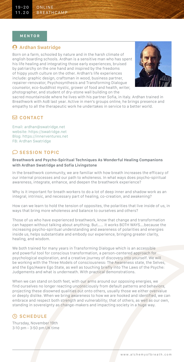#### **MENTOR**

## **A** Ardhan Swatridge

Born on a farm, schooled by nature and in the harsh climate of english boarding schools. Ardhan is a sensitive man who has spent his life healing and integrating those early experiences, bruised by patriarchy on the one hand and inspired by the freedoms of hippy youth culture on the other. Ardhan's life experiences include: graphic design, craftsman in wood, business partner, repairer-renovator, Psychosynthesis and Transforming Dialogue counselor, eco-buddhist mystic, grower of food and health, writer, photographer, and student of dry-stone wall building on the



sacred mountainside where he lives with his partner Sofia, in Italy. Ardhan trained in Breathwork with AoB last year. Active in men's groups online, he brings presence and empathy to all the therapeutic work he undertakes in service to a better world.

## **CONTACT**

Email: ardhan@swatridge.net website: https://swatridge.net Blog: https://innerventures.net FB: Ardhan Swatridge

## $\oslash$  SESSION TOPIC

#### **Breathwork and Psycho-Spiritual Techniques As Wonderful Healing Companions with Ardhan Swatridge and Sofia Livingstone**

In the breathwork community, we are familiar with how breath increases the efficacy of our internal processes and our path to wholeness. In what ways does psycho-spiritual awareness, integrate, enhance, and deepen the breathwork experience?

Why is it important for breath workers to do a lot of deep inner and shadow work as an integral, intrinsic, and necessary part of healing, co-creation, and awakening?

How can we learn to hold the tension of opposites, the polarities that live inside of us, in ways that bring more wholeness and balance to ourselves and others?

Those of us who have experienced breathwork, know that change and transformation can happen without talking about anything. But…… it works BOTH WAYS….because the increasing psycho-spiritual understanding and awareness of polarities and energies inside us, helps substantiate and embody our experience, bringing greater clarity, healing, and wisdom.

We both trained for many years in Transforming Dialogue which is an accessible and powerful tool for conscious transformation, a person-centered approach for psychological exploration, and a creative journey of discovery into yourself. We will be working with the Three Models of consciousness: The Awareness state, the Selves, and the Ego/Aware Ego State, as well as touching briefly into The Laws of the Psyche: Judgements and what is underneath. With practical demonstrations.

When we can stand on both feet, with our arms around our opposing energies, we find ourselves no longer reacting unconsciously from default patterns and behaviors, projecting these disowned qualities out onto others, usually those we either overvalue or deeply dislike. When we bring awareness to how we are hooked and identified, we can embrace and respect both strength and vulnerability; that of others, as well as our own, standing in sovereignty as change-makers and impacting society in a huge way.

## **C** SCHEDULE

Thursday, November 19th 3:10 pm - 3:50 pm UK time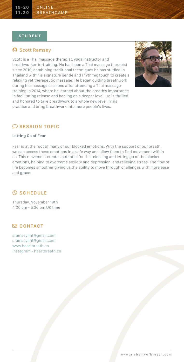## **9 Scott Ramsey**

Scott is a Thai massage therapist, yoga instructor and breathworker-in-training. He has been a Thai massage therapist since 2010, combining traditional techniques he has studied in Thailand with his signature gentle and rhythmic touch to create a relaxing yet therapeutic massage. He began guiding breathwork during his massage sessions after attending a Thai massage training in 2014, where he learned about the breath's importance in facilitating release and healing on a deeper level. He is thrilled and honored to take breathwork to a whole new level in his practice and bring breathwork into more people's lives.



## $\oslash$  SESSION TOPIC

#### **Letting Go of Fear**

Fear is at the root of many of our blocked emotions. With the support of our breath, we can access these emotions in a safe way and allow them to find movement within us. This movement creates potential for the releasing and letting go of the blocked emotions, helping to overcome anxiety and depression, and relieving stress. The flow of life becomes smoother giving us the ability to move through challenges with more ease and grace.

## *<b>SCHEDULE*

Thursday, November 19th 4:00 pm - 5:30 pm UK time

## **CONTACT**

[sramseylmt@gmail.com](mailto:sramseylmt%40gmail.com?subject=) sramseylmt@gmail.com [www.heartbreath.co](http://www.heartbreath.co) Instagram - heartbreath.co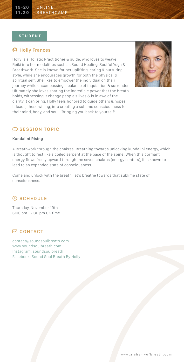## **A** Holly Frances

Holly is a Holistic Practitioner & guide, who loves to weave Reiki into her modalities such as Sound Healing, Soulful Yoga & Breathwork. She is known for her uplifting, caring & nurturing style, while she encourages growth for both the physical & spiritual self. She likes to empower the individual on their journey while encompassing a balance of inquisition & surrender. Ultimately she loves sharing the incredible power that the breath holds, witnessing it change people's lives & is in awe of the clarity it can bring. Holly feels honored to guide others & hopes it leads, those willing, into creating a sublime consciousness for their mind, body, and soul. 'Bringing you back to yourself'



## $\oslash$  SESSION TOPIC

#### **Kundalini Rising**

A Breathwork through the chakras. Breathing towards unlocking kundalini energy, which is thought to rest like a coiled serpent at the base of the spine. When this dormant energy flows freely upward through the seven chakras (energy centers), it is known to lead to an expanded state of consciousness.

Come and unlock with the breath, let's breathe towards that sublime state of consciousness.

## *<b>SCHEDULE*

Thursday, November 19th 6:00 pm - 7:30 pm UK time

## **CONTACT**

[contact@soundsoulbreath.com](mailto:contact%40soundsoulbreath.com?subject=) [www.soundsoulbreath.com](http://www.soundsoulbreath.com) Instagram: soundsoulbreath Facebook: Sound Soul Breath By Holly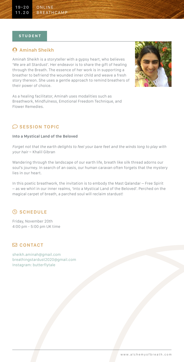## **Aminah Sheikh**

Aminah Sheikh is a storyteller with a gypsy heart, who believes 'We are all Stardust'. Her endeavor is to share the gift of healing through the Breath. The essence of her work is in supporting a breather to befriend the wounded inner child and weave a fresh story thereon. She uses a gentle approach to remind breathers of their power of choice.



As a healing facilitator, Aminah uses modalities such as Breathwork, Mindfulness, Emotional Freedom Technique, and Flower Remedies.

## $\oslash$  SESSION TOPIC

#### **Into a Mystical Land of the Beloved**

*Forget not that the earth delights to feel your bare feet and the winds long to play with your hair* ~ Khalil Gibran

Wandering through the landscape of our earth life, breath like silk thread adorns our soul's journey. In search of an oasis, our human caravan often forgets that the mystery lies in our heart.

In this poetic breathwork, the invitation is to embody the Mast Qalandar – Free Spirit – as we whirl in our inner realms, 'Into a Mystical Land of the Beloved'. Perched on the magical carpet of breath, a parched soul will reclaim stardust!

## *<b>SCHEDULE*

Friday, November 20th 4:00 pm - 5:00 pm UK time

## **CONTACT**

[sheikh.aminah@gmail.com](mailto:sheikh.aminah%40gmail.com?subject=) breathingstardust2020@gmail.com Instagram: butterflytale